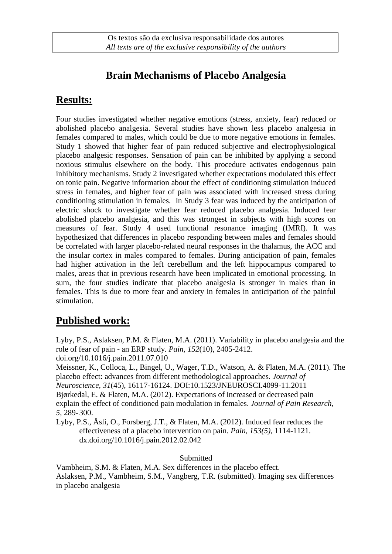# **Brain Mechanisms of Placebo Analgesia**

### **Results:**

Four studies investigated whether negative emotions (stress, anxiety, fear) reduced or abolished placebo analgesia. Several studies have shown less placebo analgesia in females compared to males, which could be due to more negative emotions in females. Study 1 showed that higher fear of pain reduced subjective and electrophysiological placebo analgesic responses. Sensation of pain can be inhibited by applying a second noxious stimulus elsewhere on the body. This procedure activates endogenous pain inhibitory mechanisms. Study 2 investigated whether expectations modulated this effect on tonic pain. Negative information about the effect of conditioning stimulation induced stress in females, and higher fear of pain was associated with increased stress during conditioning stimulation in females. In Study 3 fear was induced by the anticipation of electric shock to investigate whether fear reduced placebo analgesia. Induced fear abolished placebo analgesia, and this was strongest in subjects with high scores on measures of fear. Study 4 used functional resonance imaging (fMRI). It was hypothesized that differences in placebo responding between males and females should be correlated with larger placebo-related neural responses in the thalamus, the ACC and the insular cortex in males compared to females. During anticipation of pain, females had higher activation in the left cerebellum and the left hippocampus compared to males, areas that in previous research have been implicated in emotional processing. In sum, the four studies indicate that placebo analgesia is stronger in males than in females. This is due to more fear and anxiety in females in anticipation of the painful stimulation.

## **Published work:**

Lyby, P.S., Aslaksen, P.M. & Flaten, M.A. (2011). Variability in placebo analgesia and the role of fear of pain - an ERP study. *Pain, 152*(10), 2405-2412. doi.org/10.1016/j.pain.2011.07.010

Meissner, K., Colloca, L., Bingel, U., Wager, T.D., Watson, A. & Flaten, M.A. (2011). The placebo effect: advances from different methodological approaches. *Journal of Neuroscience, 31*(45), 16117-16124. DOI:10.1523/JNEUROSCI.4099-11.2011 Bjørkedal, E. & Flaten, M.A. (2012). Expectations of increased or decreased pain explain the effect of conditioned pain modulation in females. *Journal of Pain Research, 5,* 289-300.

Lyby, P.S., Åsli, O., Forsberg, J.T., & Flaten, M.A. (2012). Induced fear reduces the effectiveness of a placebo intervention on pain. *Pain, 153(5),* 1114-1121. dx.doi.org/10.1016/j.pain.2012.02.042

**Submitted** 

Vambheim, S.M. & Flaten, M.A. Sex differences in the placebo effect. Aslaksen, P.M., Vambheim, S.M., Vangberg, T.R. (submitted). Imaging sex differences in placebo analgesia